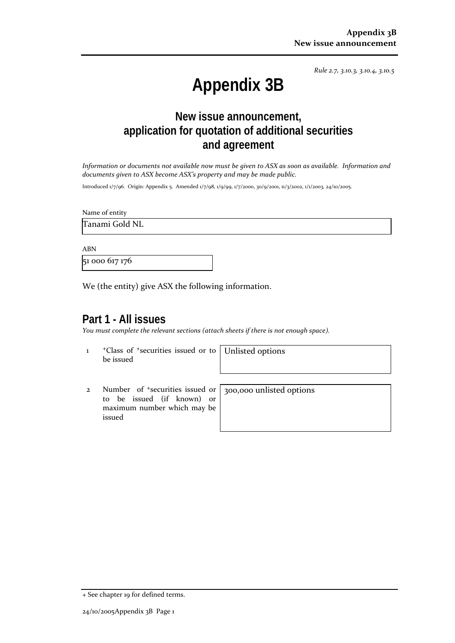*Rule 2.7, 3.10.3, 3.10.4, 3.10.5*

# **Appendix 3B**

# **New issue announcement, application for quotation of additional securities and agreement**

*Information or documents not available now must be given to ASX as soon as available. Information and documents given to ASX become ASX's property and may be made public.*

Introduced 1/7/96. Origin: Appendix 5. Amended 1/7/98, 1/9/99, 1/7/2000, 30/9/2001, 11/3/2002, 1/1/2003, 24/10/2005.

Name of entity

Tanami Gold NL

ABN

51 000 617 176

We (the entity) give ASX the following information.

### **Part 1 - All issues**

*You must complete the relevant sections (attach sheets if there is not enough space).*

1 +Class of +securities issued or to be issued

Unlisted options

2 Number of +securities issued or to be issued (if known) or maximum number which may be issued

300,000 unlisted options

<sup>+</sup> See chapter 19 for defined terms.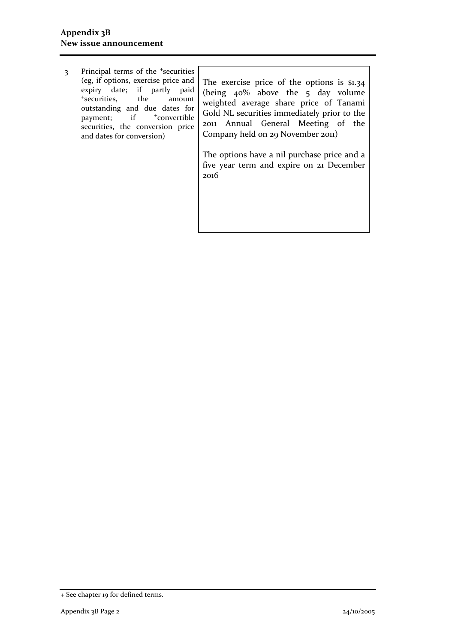3 Principal terms of the <sup>+</sup>securities (eg, if options, exercise price and expiry date; if partly paid <sup>+</sup>securities, the amount outstanding and due dates for payment; if  $+$ convertible securities, the conversion price and dates for conversion)

The exercise price of the options is \$1.34 (being 40% above the 5 day volume weighted average share price of Tanami Gold NL securities immediately prior to the 2011 Annual General Meeting of the Company held on 29 November 2011)

The options have a nil purchase price and a five year term and expire on 21 December 2016

<sup>+</sup> See chapter 19 for defined terms.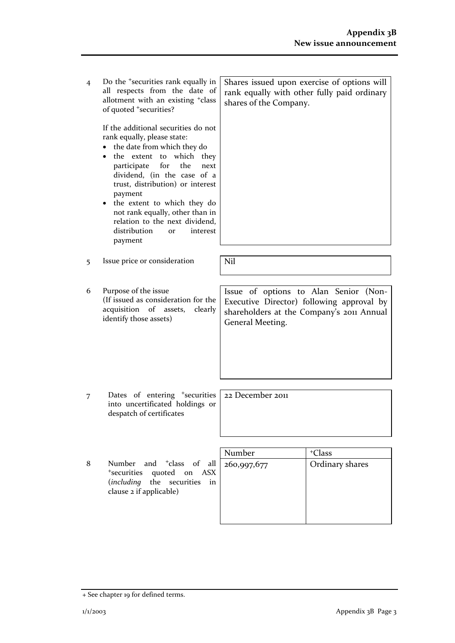4 Do the <sup>+</sup>securities rank equally in all respects from the date of allotment with an existing <sup>+</sup>class of quoted <sup>+</sup>securities?

> If the additional securities do not rank equally, please state:

- the date from which they do
- the extent to which they participate for the next dividend, (in the case of a trust, distribution) or interest payment
- the extent to which they do not rank equally, other than in relation to the next dividend, distribution or interest payment

 $5$  Issue price or consideration  $\boxed{\text{Nil}}$ 

6 Purpose of the issue (If issued as consideration for the acquisition of assets, clearly identify those assets)

Shares issued upon exercise of options will rank equally with other fully paid ordinary shares of the Company.

Issue of options to Alan Senior (Non-Executive Director) following approval by shareholders at the Company's 2011 Annual General Meeting.

7 Dates of entering <sup>+</sup>securities into uncertificated holdings or despatch of certificates

22 December 2011

8 Number and <sup>+</sup>class of all <sup>+</sup>securities quoted on ASX (*including* the securities in clause 2 if applicable)

| Number      | <sup>+</sup> Class |
|-------------|--------------------|
| 260,997,677 | Ordinary shares    |
|             |                    |
|             |                    |
|             |                    |
|             |                    |
|             |                    |
|             |                    |

<sup>+</sup> See chapter 19 for defined terms.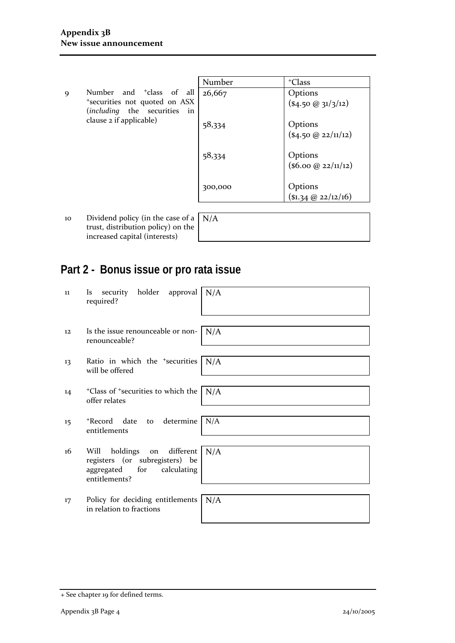- Number + Class 9 Number and <sup>+</sup>class of all <sup>+</sup>securities not quoted on ASX (*including* the securities in clause 2 if applicable) 26,667 58,334 58,334 300,000 Options  $($ \$4.50 @ 31/3/12) Options  $($ \$4.50 $@$  22/11/12 $)$ Options  $($ \$6.00 $@$  22/11/12 $)$ Options  $($ \$1.34 @ 22/12/16 $)$
- 10 Dividend policy (in the case of a N/A trust, distribution policy) on the increased capital (interests)

| $\sqrt{A}$ |  |  |  |
|------------|--|--|--|
|            |  |  |  |
|            |  |  |  |

# **Part 2 - Bonus issue or pro rata issue**

| 11 | security holder approval<br><i>Is</i><br>required?                                                                   | N/A |
|----|----------------------------------------------------------------------------------------------------------------------|-----|
| 12 | Is the issue renounceable or non-<br>renounceable?                                                                   | N/A |
| 13 | Ratio in which the <sup>+</sup> securities<br>will be offered                                                        | N/A |
| 14 | <sup>+</sup> Class of <sup>+</sup> securities to which the<br>offer relates                                          | N/A |
| 15 | to determine<br>+Record date<br>entitlements                                                                         | N/A |
| 16 | holdings<br>on different<br>Will<br>registers (or subregisters) be<br>calculating<br>aggregated for<br>entitlements? | N/A |
| 17 | Policy for deciding entitlements<br>in relation to fractions                                                         | N/A |
|    |                                                                                                                      |     |

<sup>+</sup> See chapter 19 for defined terms.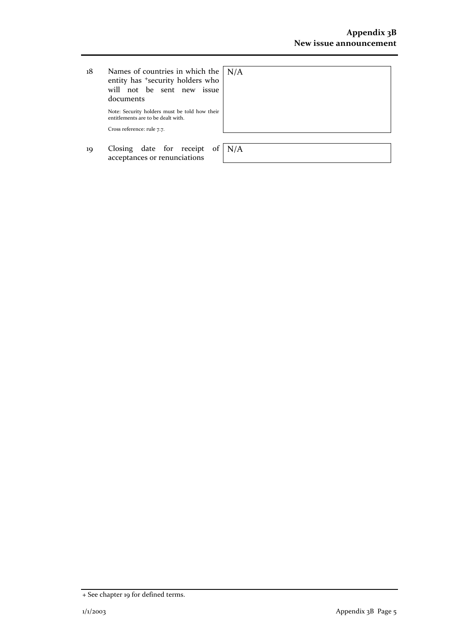18 Names of countries in which the entity has <sup>+</sup>security holders who will not be sent new issue documents

> Note: Security holders must be told how their entitlements are to be dealt with. Cross reference: rule 7.7.

19 Closing date for receipt of N/Aacceptances or renunciations

| N/A |  |  |  |
|-----|--|--|--|
|     |  |  |  |
|     |  |  |  |
|     |  |  |  |
|     |  |  |  |
|     |  |  |  |
|     |  |  |  |
|     |  |  |  |

<sup>+</sup> See chapter 19 for defined terms.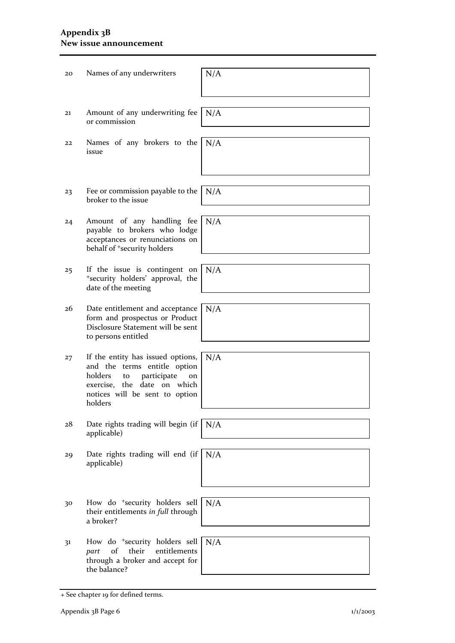#### **Appendix 3B New issue announcement**

| 20             | Names of any underwriters                                                                                                                                                           | N/A |
|----------------|-------------------------------------------------------------------------------------------------------------------------------------------------------------------------------------|-----|
| 21             | Amount of any underwriting fee<br>or commission                                                                                                                                     | N/A |
| 22             | Names of any brokers to the<br>issue                                                                                                                                                | N/A |
| 23             | Fee or commission payable to the<br>broker to the issue                                                                                                                             | N/A |
| 24             | Amount of any handling fee<br>payable to brokers who lodge<br>acceptances or renunciations on<br>behalf of <sup>+</sup> security holders                                            | N/A |
| 25             | If the issue is contingent on<br>*security holders' approval, the<br>date of the meeting                                                                                            | N/A |
| 26             | Date entitlement and acceptance<br>form and prospectus or Product<br>Disclosure Statement will be sent<br>to persons entitled                                                       | N/A |
| 27             | If the entity has issued options,<br>and the terms entitle option<br>holders<br>participate<br>to<br>on<br>exercise, the date on which<br>notices will be sent to option<br>holders | N/A |
| 28             | Date rights trading will begin (if<br>applicable)                                                                                                                                   | N/A |
| 29             | Date rights trading will end (if<br>applicable)                                                                                                                                     | N/A |
| 30             | How do <sup>+</sup> security holders sell<br>their entitlements in full through<br>a broker?                                                                                        | N/A |
| 3 <sup>1</sup> | How do <sup>+</sup> security holders sell<br>of<br>their<br>entitlements<br>part<br>through a broker and accept for<br>the balance?                                                 | N/A |

<sup>+</sup> See chapter 19 for defined terms.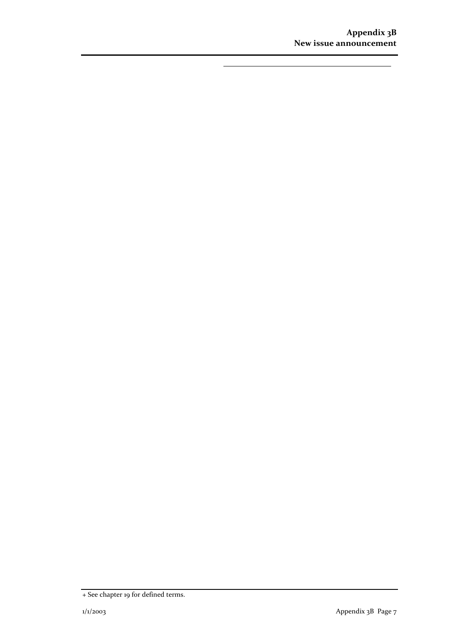<sup>+</sup> See chapter 19 for defined terms.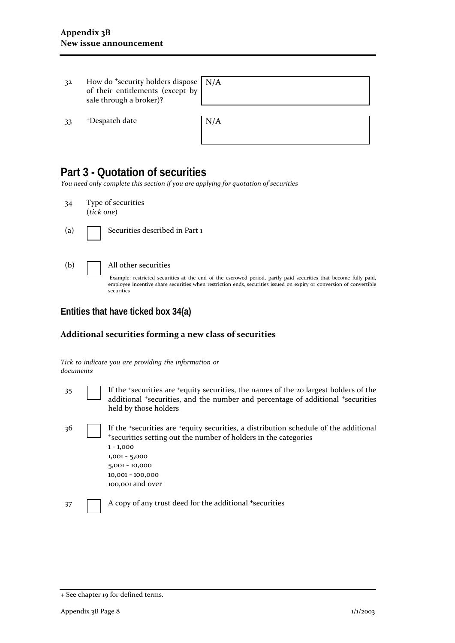| 32  | How do <sup>+</sup> security holders dispose $\mid N/A \rangle$<br>of their entitlements (except by<br>sale through a broker)? |     |
|-----|--------------------------------------------------------------------------------------------------------------------------------|-----|
| -33 | <sup>+</sup> Despatch date                                                                                                     | N/A |

## **Part 3 - Quotation of securities**

*You need only complete this section if you are applying for quotation of securities*

| 34  | Type of securities<br>(tick one)                                                                                                                                                                                                                                              |
|-----|-------------------------------------------------------------------------------------------------------------------------------------------------------------------------------------------------------------------------------------------------------------------------------|
| (a) | Securities described in Part 1                                                                                                                                                                                                                                                |
| (b) | All other securities<br>Example: restricted securities at the end of the escrowed period, partly paid securities that become fully paid,<br>employee incentive share securities when restriction ends, securities issued on expiry or conversion of convertible<br>securities |

**Entities that have ticked box 34(a)**

### **Additional securities forming a new class of securities**

|           |  |  | Tick to indicate you are providing the information or |  |
|-----------|--|--|-------------------------------------------------------|--|
| documents |  |  |                                                       |  |

- 35 If the <sup>+</sup>securities are <sup>+</sup>equity securities, the names of the 20 largest holders of the additional <sup>+</sup>securities, and the number and percentage of additional <sup>+</sup>securities held by those holders
- 36 If the <sup>+</sup>securities are <sup>+</sup>equity securities, a distribution schedule of the additional <sup>+</sup>securities setting out the number of holders in the categories 1 - 1,000 1,001 - 5,000 5,001 - 10,000 10,001 - 100,000 100,001 and over

#### 37 A copy of any trust deed for the additional +securities

<sup>+</sup> See chapter 19 for defined terms.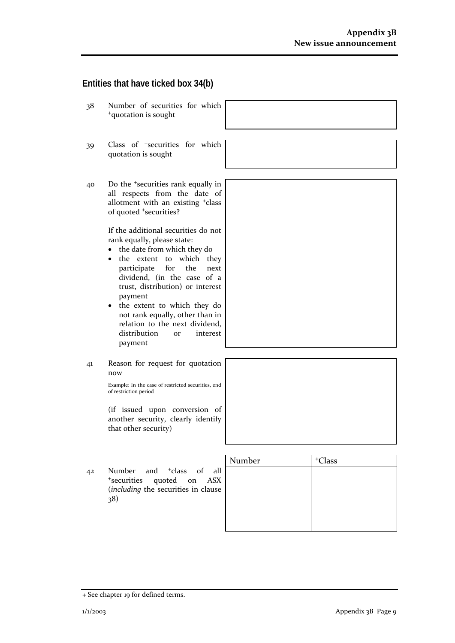### **Entities that have ticked box 34(b)**

38 Number of securities for which <sup>+</sup>quotation is sought 39 Class of <sup>+</sup>securities for which quotation is sought 40 Do the <sup>+</sup>securities rank equally in all respects from the date of allotment with an existing <sup>+</sup>class of quoted <sup>+</sup>securities? If the additional securities do not rank equally, please state: • the date from which they do • the extent to which they participate for the next dividend, (in the case of a trust, distribution) or interest payment • the extent to which they do not rank equally, other than in relation to the next dividend, distribution or interest payment 41 Reason for request for quotation now Example: In the case of restricted securities, end of restriction period (if issued upon conversion of another security, clearly identify that other security) Number | +Class 42 Number and <sup>+</sup>class of all <sup>+</sup>securities quoted on ASX (*including* the securities in clause

38)

<sup>+</sup> See chapter 19 for defined terms.